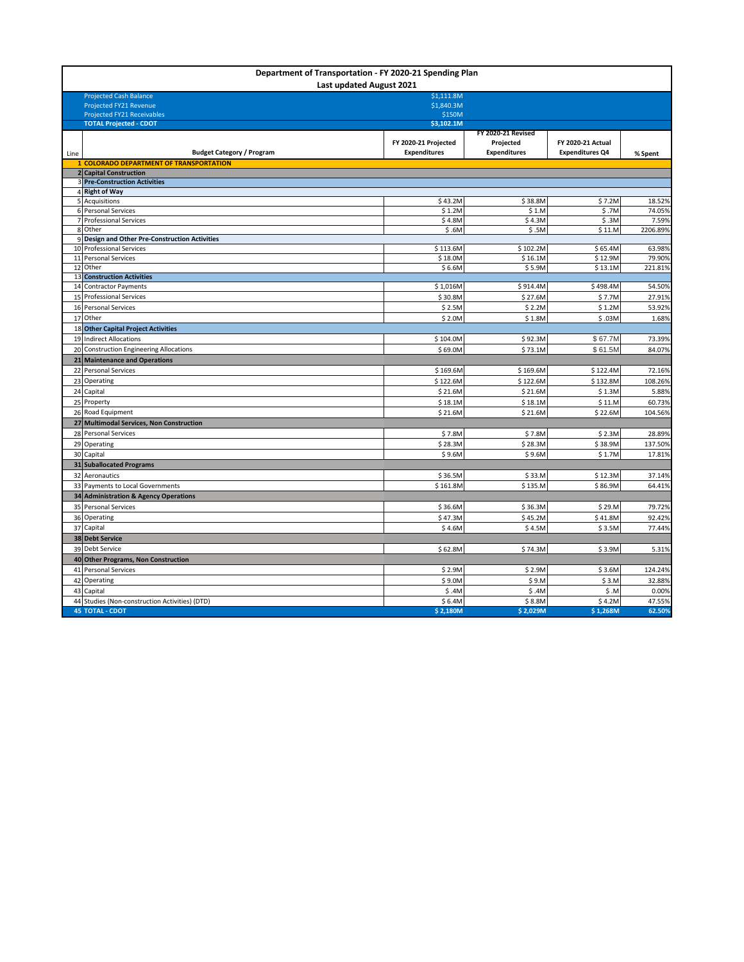| Department of Transportation - FY 2020-21 Spending Plan<br>Last updated August 2021 |                                                                            |                      |                     |                        |                  |  |
|-------------------------------------------------------------------------------------|----------------------------------------------------------------------------|----------------------|---------------------|------------------------|------------------|--|
|                                                                                     | <b>Projected Cash Balance</b>                                              | \$1,111.8M           |                     |                        |                  |  |
|                                                                                     | Projected FY21 Revenue                                                     | \$1,840.3M           |                     |                        |                  |  |
|                                                                                     | <b>Projected FY21 Receivables</b>                                          | \$150M<br>\$3,102.1M |                     |                        |                  |  |
|                                                                                     | <b>TOTAL Projected - CDOT</b>                                              |                      | FY 2020-21 Revised  |                        |                  |  |
|                                                                                     |                                                                            | FY 2020-21 Projected | Projected           | FY 2020-21 Actual      |                  |  |
| Line                                                                                | <b>Budget Category / Program</b>                                           | <b>Expenditures</b>  | <b>Expenditures</b> | <b>Expenditures Q4</b> | % Spent          |  |
|                                                                                     | 1 COLORADO DEPARTMENT OF TRANSPORTATION                                    |                      |                     |                        |                  |  |
|                                                                                     | 2 Capital Construction                                                     |                      |                     |                        |                  |  |
|                                                                                     | <b>3 Pre-Construction Activities</b>                                       |                      |                     |                        |                  |  |
|                                                                                     | 4 Right of Way                                                             |                      |                     |                        |                  |  |
|                                                                                     | 5 Acquisitions                                                             | \$43.2M              | \$38.8M             | \$7.2M                 | 18.52%           |  |
|                                                                                     | 6 Personal Services                                                        | \$1.2M               | \$1.M               | \$.7M                  | 74.05%           |  |
|                                                                                     | 7 Professional Services                                                    | \$4.8M               | \$4.3M              | \$.3M                  | 7.59%            |  |
|                                                                                     | 8 Other                                                                    | \$.6M                | \$.5M               | \$11.M                 | 2206.89%         |  |
|                                                                                     | 9 Design and Other Pre-Construction Activities<br>10 Professional Services |                      |                     | \$65.4M                |                  |  |
|                                                                                     | 11 Personal Services                                                       | \$113.6M<br>\$18.0M  | \$102.2M<br>\$16.1M | \$12.9M                | 63.98%<br>79.90% |  |
|                                                                                     | 12 Other                                                                   | \$6.6M               | \$5.9M              | \$13.1M                | 221.81%          |  |
|                                                                                     | 13 Construction Activities                                                 |                      |                     |                        |                  |  |
|                                                                                     | 14 Contractor Payments                                                     | \$1,016M             | \$914.4M            | \$498.4M               | 54.50%           |  |
|                                                                                     | 15 Professional Services                                                   | \$30.8M              | \$27.6M             | \$7.7M                 | 27.91%           |  |
|                                                                                     | 16 Personal Services                                                       | \$2.5M               | \$2.2M              | \$1.2M                 | 53.92%           |  |
|                                                                                     | 17 Other                                                                   | \$2.0M               | \$1.8M              | \$.03M                 | 1.68%            |  |
|                                                                                     | 18 Other Capital Project Activities                                        |                      |                     |                        |                  |  |
|                                                                                     | 19 Indirect Allocations                                                    | \$104.0M             | \$92.3M             | \$67.7M                | 73.39%           |  |
|                                                                                     | 20 Construction Engineering Allocations                                    | \$69.0M              | \$73.1M             | \$61.5M                | 84.07%           |  |
|                                                                                     | 21 Maintenance and Operations                                              |                      |                     |                        |                  |  |
|                                                                                     | 22 Personal Services                                                       | \$169.6M             | \$169.6M            | \$122.4M               | 72.16%           |  |
| 23                                                                                  | Operating                                                                  | \$122.6M             | \$122.6M            | \$132.8M               | 108.26%          |  |
| 24                                                                                  | Capital                                                                    | \$21.6M              | \$21.6M             | \$1.3M                 | 5.88%            |  |
|                                                                                     | 25 Property                                                                | \$18.1M              | \$18.1M             | \$11.M                 | 60.73%           |  |
|                                                                                     | 26 Road Equipment                                                          | \$21.6M              | \$21.6M             | \$22.6M                | 104.56%          |  |
|                                                                                     | 27 Multimodal Services, Non Construction                                   |                      |                     |                        |                  |  |
|                                                                                     | 28 Personal Services                                                       | \$7.8M               | \$7.8M              | \$2.3M                 | 28.89%           |  |
|                                                                                     | 29 Operating                                                               | \$28.3M              | \$28.3M             | \$38.9M                | 137.50%          |  |
|                                                                                     | 30 Capital                                                                 | \$9.6M               | \$9.6M              | \$1.7M                 | 17.81%           |  |
|                                                                                     | 31 Suballocated Programs                                                   |                      |                     |                        |                  |  |
|                                                                                     | 32 Aeronautics                                                             | \$36.5M              | \$33.M              | \$12.3M                | 37.14%           |  |
|                                                                                     | 33 Payments to Local Governments                                           | \$161.8M             | \$135.M             | \$86.9M                | 64.41%           |  |
|                                                                                     | 34 Administration & Agency Operations                                      |                      |                     |                        |                  |  |
|                                                                                     | 35 Personal Services                                                       | \$36.6M              | \$36.3M             | \$29.M                 | 79.72%           |  |
|                                                                                     | 36 Operating                                                               | \$47.3M              | \$45.2M             | \$41.8M                | 92.42%           |  |
| 37                                                                                  | Capital                                                                    | \$4.6M               | \$4.5M              | \$3.5M                 | 77.44%           |  |
|                                                                                     | 38 Debt Service                                                            |                      |                     |                        |                  |  |
|                                                                                     | 39 Debt Service                                                            | \$62.8M              | \$74.3M             | \$3.9M                 | 5.31%            |  |
|                                                                                     | 40 Other Programs, Non Construction                                        |                      |                     |                        |                  |  |
|                                                                                     | 41 Personal Services                                                       | \$2.9M               | \$2.9M              | \$3.6M                 | 124.24%          |  |
|                                                                                     | 42 Operating                                                               | \$9.0M               | \$9.M               | \$3.M                  | 32.88%           |  |
| 43                                                                                  | Capital                                                                    | \$.4M                | \$.4M               | \$M                    | 0.00%            |  |
|                                                                                     | 44 Studies (Non-construction Activities) (DTD)                             | \$6.4M               | \$8.8M              | \$4.2M                 | 47.55%           |  |
|                                                                                     | <b>45 TOTAL - CDOT</b>                                                     | \$2,180M             | \$2,029M            | \$1,268M               | 62.50%           |  |